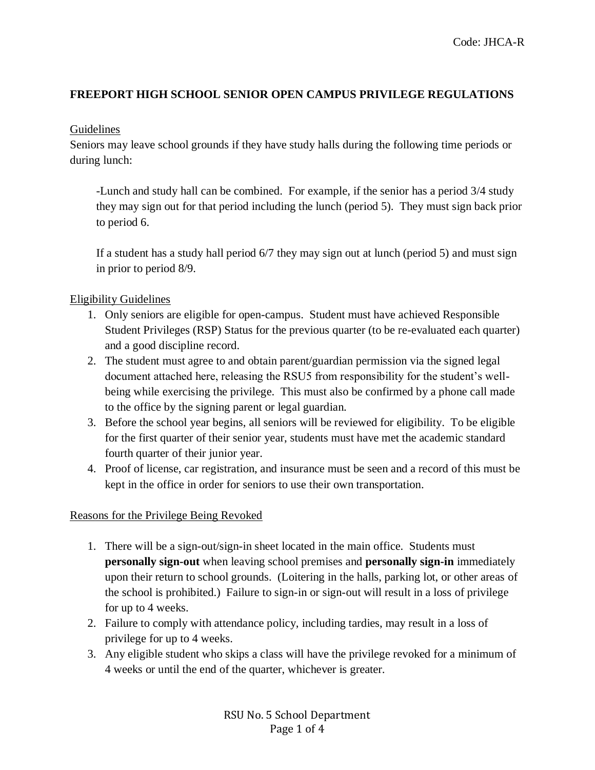# **FREEPORT HIGH SCHOOL SENIOR OPEN CAMPUS PRIVILEGE REGULATIONS**

#### Guidelines

Seniors may leave school grounds if they have study halls during the following time periods or during lunch:

-Lunch and study hall can be combined. For example, if the senior has a period 3/4 study they may sign out for that period including the lunch (period 5). They must sign back prior to period 6.

If a student has a study hall period 6/7 they may sign out at lunch (period 5) and must sign in prior to period 8/9.

### Eligibility Guidelines

- 1. Only seniors are eligible for open-campus. Student must have achieved Responsible Student Privileges (RSP) Status for the previous quarter (to be re-evaluated each quarter) and a good discipline record.
- 2. The student must agree to and obtain parent/guardian permission via the signed legal document attached here, releasing the RSU5 from responsibility for the student's wellbeing while exercising the privilege. This must also be confirmed by a phone call made to the office by the signing parent or legal guardian.
- 3. Before the school year begins, all seniors will be reviewed for eligibility. To be eligible for the first quarter of their senior year, students must have met the academic standard fourth quarter of their junior year.
- 4. Proof of license, car registration, and insurance must be seen and a record of this must be kept in the office in order for seniors to use their own transportation.

## Reasons for the Privilege Being Revoked

- 1. There will be a sign-out/sign-in sheet located in the main office. Students must **personally sign-out** when leaving school premises and **personally sign-in** immediately upon their return to school grounds. (Loitering in the halls, parking lot, or other areas of the school is prohibited.) Failure to sign-in or sign-out will result in a loss of privilege for up to 4 weeks.
- 2. Failure to comply with attendance policy, including tardies, may result in a loss of privilege for up to 4 weeks.
- 3. Any eligible student who skips a class will have the privilege revoked for a minimum of 4 weeks or until the end of the quarter, whichever is greater.

RSU No. 5 School Department Page 1 of 4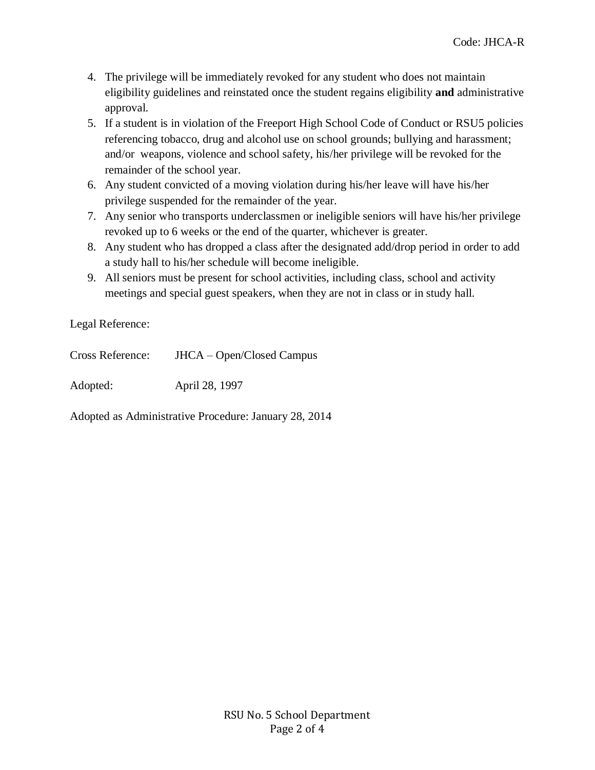- 4. The privilege will be immediately revoked for any student who does not maintain eligibility guidelines and reinstated once the student regains eligibility **and** administrative approval.
- 5. If a student is in violation of the Freeport High School Code of Conduct or RSU5 policies referencing tobacco, drug and alcohol use on school grounds; bullying and harassment; and/or weapons, violence and school safety, his/her privilege will be revoked for the remainder of the school year.
- 6. Any student convicted of a moving violation during his/her leave will have his/her privilege suspended for the remainder of the year.
- 7. Any senior who transports underclassmen or ineligible seniors will have his/her privilege revoked up to 6 weeks or the end of the quarter, whichever is greater.
- 8. Any student who has dropped a class after the designated add/drop period in order to add a study hall to his/her schedule will become ineligible.
- 9. All seniors must be present for school activities, including class, school and activity meetings and special guest speakers, when they are not in class or in study hall.

Legal Reference:

| Cross Reference: | JHCA – Open/Closed Campus |
|------------------|---------------------------|
| Adopted:         | April 28, 1997            |

Adopted as Administrative Procedure: January 28, 2014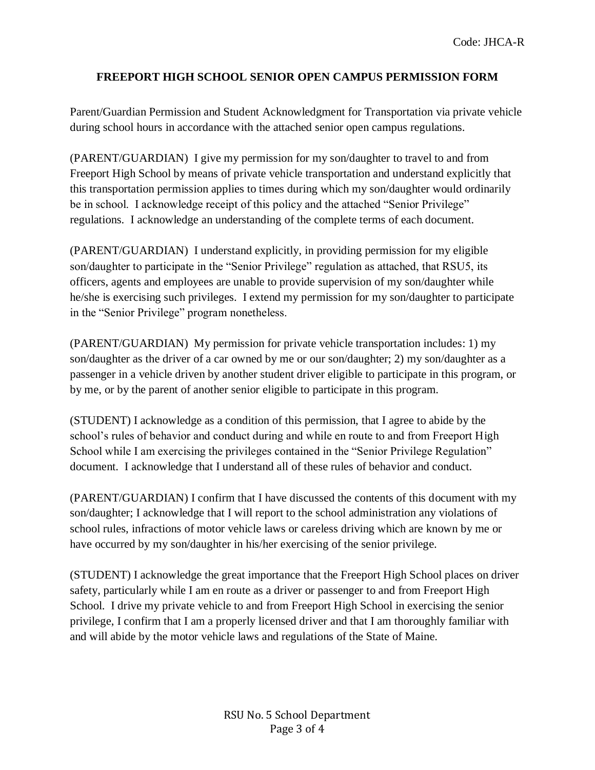## **FREEPORT HIGH SCHOOL SENIOR OPEN CAMPUS PERMISSION FORM**

Parent/Guardian Permission and Student Acknowledgment for Transportation via private vehicle during school hours in accordance with the attached senior open campus regulations.

(PARENT/GUARDIAN) I give my permission for my son/daughter to travel to and from Freeport High School by means of private vehicle transportation and understand explicitly that this transportation permission applies to times during which my son/daughter would ordinarily be in school. I acknowledge receipt of this policy and the attached "Senior Privilege" regulations. I acknowledge an understanding of the complete terms of each document.

(PARENT/GUARDIAN) I understand explicitly, in providing permission for my eligible son/daughter to participate in the "Senior Privilege" regulation as attached, that RSU5, its officers, agents and employees are unable to provide supervision of my son/daughter while he/she is exercising such privileges. I extend my permission for my son/daughter to participate in the "Senior Privilege" program nonetheless.

(PARENT/GUARDIAN) My permission for private vehicle transportation includes: 1) my son/daughter as the driver of a car owned by me or our son/daughter; 2) my son/daughter as a passenger in a vehicle driven by another student driver eligible to participate in this program, or by me, or by the parent of another senior eligible to participate in this program.

(STUDENT) I acknowledge as a condition of this permission, that I agree to abide by the school's rules of behavior and conduct during and while en route to and from Freeport High School while I am exercising the privileges contained in the "Senior Privilege Regulation" document. I acknowledge that I understand all of these rules of behavior and conduct.

(PARENT/GUARDIAN) I confirm that I have discussed the contents of this document with my son/daughter; I acknowledge that I will report to the school administration any violations of school rules, infractions of motor vehicle laws or careless driving which are known by me or have occurred by my son/daughter in his/her exercising of the senior privilege.

(STUDENT) I acknowledge the great importance that the Freeport High School places on driver safety, particularly while I am en route as a driver or passenger to and from Freeport High School. I drive my private vehicle to and from Freeport High School in exercising the senior privilege, I confirm that I am a properly licensed driver and that I am thoroughly familiar with and will abide by the motor vehicle laws and regulations of the State of Maine.